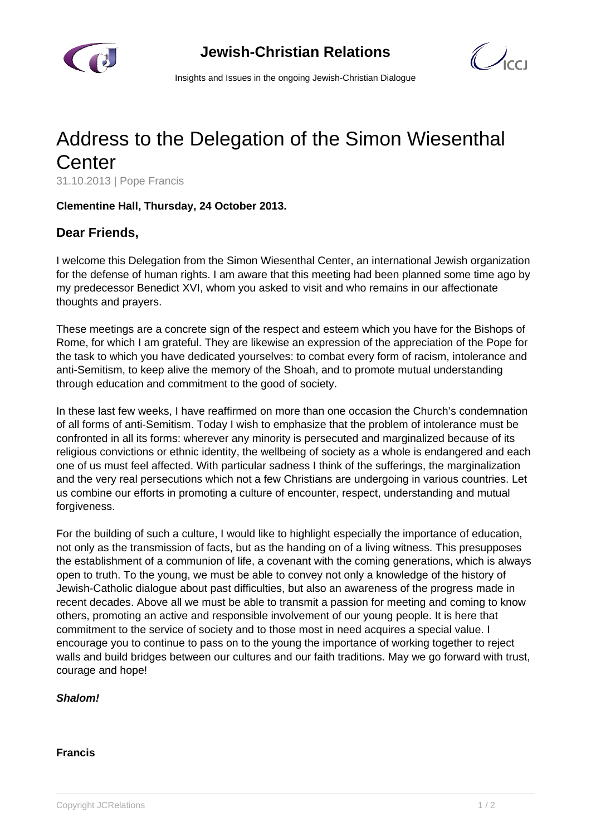

 $\bigcirc$ 

Insights and Issues in the ongoing Jewish-Christian Dialogue

# Address to the Delegation of the Simon Wiesenthal **Center**

31.10.2013 | Pope Francis

## **Clementine Hall, Thursday, 24 October 2013.**

## **Dear Friends,**

I welcome this Delegation from the Simon Wiesenthal Center, an international Jewish organization for the defense of human rights. I am aware that this meeting had been planned some time ago by my predecessor Benedict XVI, whom you asked to visit and who remains in our affectionate thoughts and prayers.

These meetings are a concrete sign of the respect and esteem which you have for the Bishops of Rome, for which I am grateful. They are likewise an expression of the appreciation of the Pope for the task to which you have dedicated yourselves: to combat every form of racism, intolerance and anti-Semitism, to keep alive the memory of the Shoah, and to promote mutual understanding through education and commitment to the good of society.

In these last few weeks, I have reaffirmed on more than one occasion the Church's condemnation of all forms of anti-Semitism. Today I wish to emphasize that the problem of intolerance must be confronted in all its forms: wherever any minority is persecuted and marginalized because of its religious convictions or ethnic identity, the wellbeing of society as a whole is endangered and each one of us must feel affected. With particular sadness I think of the sufferings, the marginalization and the very real persecutions which not a few Christians are undergoing in various countries. Let us combine our efforts in promoting a culture of encounter, respect, understanding and mutual forgiveness.

For the building of such a culture, I would like to highlight especially the importance of education, not only as the transmission of facts, but as the handing on of a living witness. This presupposes the establishment of a communion of life, a covenant with the coming generations, which is always open to truth. To the young, we must be able to convey not only a knowledge of the history of Jewish-Catholic dialogue about past difficulties, but also an awareness of the progress made in recent decades. Above all we must be able to transmit a passion for meeting and coming to know others, promoting an active and responsible involvement of our young people. It is here that commitment to the service of society and to those most in need acquires a special value. I encourage you to continue to pass on to the young the importance of working together to reject walls and build bridges between our cultures and our faith traditions. May we go forward with trust, courage and hope!

### **Shalom!**

### **Francis**